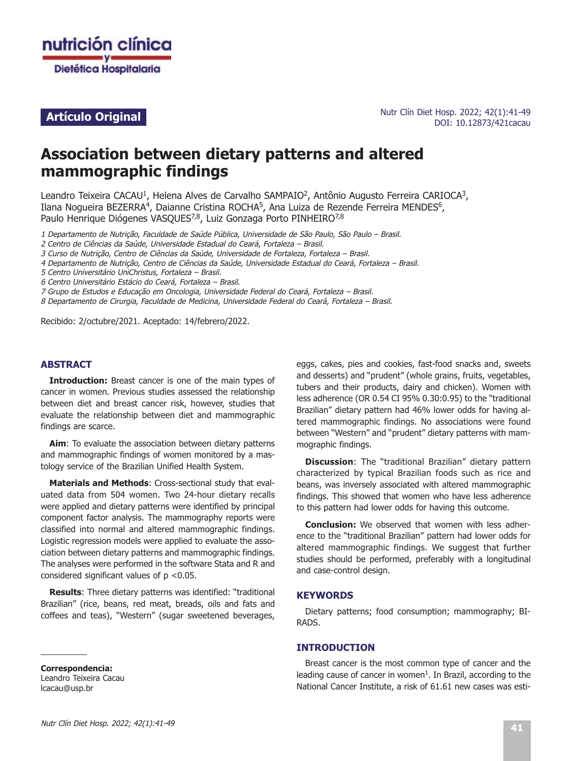

## **Artículo Original**

Nutr Clín Diet Hosp. 2022; 42(1):41-49 DOI: 10.12873/421cacau

# **Association between dietary patterns and altered mammographic findings**

Leandro Teixeira CACAU<sup>1</sup>, Helena Alves de Carvalho SAMPAIO<sup>2</sup>, Antônio Augusto Ferreira CARIOCA<sup>3</sup>, Ilana Nogueira BEZERRA<sup>4</sup>, Daianne Cristina ROCHA<sup>5</sup>, Ana Luiza de Rezende Ferreira MENDES<sup>6</sup>, Paulo Henrique Diógenes VASQUES<sup>7,8</sup>, Luiz Gonzaga Porto PINHEIRO<sup>7,8</sup>

1 Departamento de Nutrição, Faculdade de Saúde Pública, Universidade de São Paulo, São Paulo – Brasil.

2 Centro de Ciências da Saúde, Universidade Estadual do Ceará, Fortaleza – Brasil.

3 Curso de Nutrição, Centro de Ciências da Saúde, Universidade de Fortaleza, Fortaleza – Brasil.

4 Departamento de Nutrição, Centro de Ciências da Saúde, Universidade Estadual do Ceará, Fortaleza – Brasil.

5 Centro Universitário UniChristus, Fortaleza – Brasil.

7 Grupo de Estudos e Educação em Oncologia, Universidade Federal do Ceará, Fortaleza – Brasil.

8 Departamento de Cirurgia, Faculdade de Medicina, Universidade Federal do Ceará, Fortaleza – Brasil.

Recibido: 2/octubre/2021. Aceptado: 14/febrero/2022.

#### **ABSTRACT**

**Introduction:** Breast cancer is one of the main types of cancer in women. Previous studies assessed the relationship between diet and breast cancer risk, however, studies that evaluate the relationship between diet and mammographic findings are scarce.

**Aim**: To evaluate the association between dietary patterns and mammographic findings of women monitored by a mastology service of the Brazilian Unified Health System.

**Materials and Methods**: Cross-sectional study that evaluated data from 504 women. Two 24-hour dietary recalls were applied and dietary patterns were identified by principal component factor analysis. The mammography reports were classified into normal and altered mammographic findings. Logistic regression models were applied to evaluate the association between dietary patterns and mammographic findings. The analyses were performed in the software Stata and R and considered significant values of  $p$  <0.05.

**Results:** Three dietary patterns was identified: "traditional Brazilian" (rice, beans, red meat, breads, oils and fats and coffees and teas), "Western" (sugar sweetened beverages,

**Correspondencia:** Leandro Teixeira Cacau lcacau@usp.br

eggs, cakes, pies and cookies, fast-food snacks and, sweets and desserts) and "prudent" (whole grains, fruits, vegetables, tubers and their products, dairy and chicken). Women with less adherence (OR 0.54 CI 95% 0.30:0.95) to the "traditional Brazilian" dietary pattern had 46% lower odds for having altered mammographic findings. No associations were found between "Western" and "prudent" dietary patterns with mammographic findings.

**Discussion**: The "traditional Brazilian" dietary pattern characterized by typical Brazilian foods such as rice and beans, was inversely associated with altered mammographic findings. This showed that women who have less adherence to this pattern had lower odds for having this outcome.

**Conclusion:** We observed that women with less adherence to the "traditional Brazilian" pattern had lower odds for altered mammographic findings. We suggest that further studies should be performed, preferably with a longitudinal and case-control design.

#### **KEYWORDS**

Dietary patterns; food consumption; mammography; BI-RADS.

#### **INTRODUCTION**

Breast cancer is the most common type of cancer and the leading cause of cancer in women<sup>1</sup>. In Brazil, according to the National Cancer Institute, a risk of 61.61 new cases was esti-

<sup>6</sup> Centro Universitário Estácio do Ceará, Fortaleza – Brasil.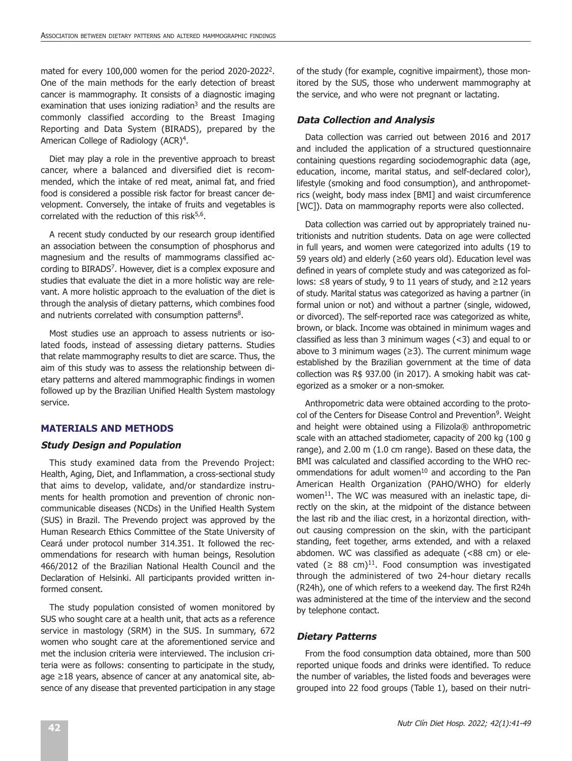mated for every 100,000 women for the period 2020-2022<sup>2</sup>. One of the main methods for the early detection of breast cancer is mammography. It consists of a diagnostic imaging examination that uses ionizing radiation<sup>3</sup> and the results are commonly classified according to the Breast Imaging Reporting and Data System (BIRADS), prepared by the American College of Radiology (ACR)4.

Diet may play a role in the preventive approach to breast cancer, where a balanced and diversified diet is recommended, which the intake of red meat, animal fat, and fried food is considered a possible risk factor for breast cancer development. Conversely, the intake of fruits and vegetables is correlated with the reduction of this risk $5,6$ .

A recent study conducted by our research group identified an association between the consumption of phosphorus and magnesium and the results of mammograms classified according to BIRADS7. However, diet is a complex exposure and studies that evaluate the diet in a more holistic way are relevant. A more holistic approach to the evaluation of the diet is through the analysis of dietary patterns, which combines food and nutrients correlated with consumption patterns<sup>8</sup>.

Most studies use an approach to assess nutrients or isolated foods, instead of assessing dietary patterns. Studies that relate mammography results to diet are scarce. Thus, the aim of this study was to assess the relationship between dietary patterns and altered mammographic findings in women followed up by the Brazilian Unified Health System mastology service.

#### **MATERIALS AND METHODS**

#### **Study Design and Population**

This study examined data from the Prevendo Project: Health, Aging, Diet, and Inflammation, a cross-sectional study that aims to develop, validate, and/or standardize instruments for health promotion and prevention of chronic noncommunicable diseases (NCDs) in the Unified Health System (SUS) in Brazil. The Prevendo project was approved by the Human Research Ethics Committee of the State University of Ceará under protocol number 314.351. It followed the recommendations for research with human beings, Resolution 466/2012 of the Brazilian National Health Council and the Declaration of Helsinki. All participants provided written informed consent.

The study population consisted of women monitored by SUS who sought care at a health unit, that acts as a reference service in mastology (SRM) in the SUS. In summary, 672 women who sought care at the aforementioned service and met the inclusion criteria were interviewed. The inclusion criteria were as follows: consenting to participate in the study, age ≥18 years, absence of cancer at any anatomical site, absence of any disease that prevented participation in any stage of the study (for example, cognitive impairment), those monitored by the SUS, those who underwent mammography at the service, and who were not pregnant or lactating.

#### **Data Collection and Analysis**

Data collection was carried out between 2016 and 2017 and included the application of a structured questionnaire containing questions regarding sociodemographic data (age, education, income, marital status, and self-declared color), lifestyle (smoking and food consumption), and anthropometrics (weight, body mass index [BMI] and waist circumference [WC]). Data on mammography reports were also collected.

Data collection was carried out by appropriately trained nutritionists and nutrition students. Data on age were collected in full years, and women were categorized into adults (19 to 59 years old) and elderly (≥60 years old). Education level was defined in years of complete study and was categorized as follows: ≤8 years of study, 9 to 11 years of study, and ≥12 years of study. Marital status was categorized as having a partner (in formal union or not) and without a partner (single, widowed, or divorced). The self-reported race was categorized as white, brown, or black. Income was obtained in minimum wages and classified as less than 3 minimum wages  $(<$ 3) and equal to or above to 3 minimum wages ( $\geq$ 3). The current minimum wage established by the Brazilian government at the time of data collection was R\$ 937.00 (in 2017). A smoking habit was categorized as a smoker or a non-smoker.

Anthropometric data were obtained according to the protocol of the Centers for Disease Control and Prevention<sup>9</sup>. Weight and height were obtained using a Filizola® anthropometric scale with an attached stadiometer, capacity of 200 kg (100 g range), and 2.00 m (1.0 cm range). Based on these data, the BMI was calculated and classified according to the WHO recommendations for adult women $10$  and according to the Pan American Health Organization (PAHO/WHO) for elderly women<sup>11</sup>. The WC was measured with an inelastic tape, directly on the skin, at the midpoint of the distance between the last rib and the iliac crest, in a horizontal direction, without causing compression on the skin, with the participant standing, feet together, arms extended, and with a relaxed abdomen. WC was classified as adequate (<88 cm) or elevated ( $\geq$  88 cm)<sup>11</sup>. Food consumption was investigated through the administered of two 24-hour dietary recalls (R24h), one of which refers to a weekend day. The first R24h was administered at the time of the interview and the second by telephone contact.

#### **Dietary Patterns**

From the food consumption data obtained, more than 500 reported unique foods and drinks were identified. To reduce the number of variables, the listed foods and beverages were grouped into 22 food groups (Table 1), based on their nutri-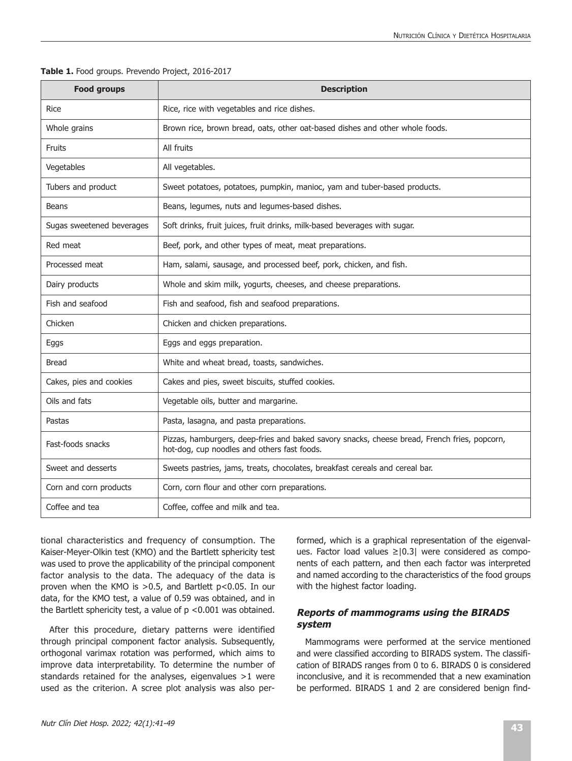#### **Table 1.** Food groups. Prevendo Project, 2016-2017

| <b>Food groups</b>        | <b>Description</b>                                                                                                                          |  |  |
|---------------------------|---------------------------------------------------------------------------------------------------------------------------------------------|--|--|
| <b>Rice</b>               | Rice, rice with vegetables and rice dishes.                                                                                                 |  |  |
| Whole grains              | Brown rice, brown bread, oats, other oat-based dishes and other whole foods.                                                                |  |  |
| Fruits                    | All fruits                                                                                                                                  |  |  |
| Vegetables                | All vegetables.                                                                                                                             |  |  |
| Tubers and product        | Sweet potatoes, potatoes, pumpkin, manioc, yam and tuber-based products.                                                                    |  |  |
| Beans                     | Beans, legumes, nuts and legumes-based dishes.                                                                                              |  |  |
| Sugas sweetened beverages | Soft drinks, fruit juices, fruit drinks, milk-based beverages with sugar.                                                                   |  |  |
| Red meat                  | Beef, pork, and other types of meat, meat preparations.                                                                                     |  |  |
| Processed meat            | Ham, salami, sausage, and processed beef, pork, chicken, and fish.                                                                          |  |  |
| Dairy products            | Whole and skim milk, yogurts, cheeses, and cheese preparations.                                                                             |  |  |
| Fish and seafood          | Fish and seafood, fish and seafood preparations.                                                                                            |  |  |
| Chicken                   | Chicken and chicken preparations.                                                                                                           |  |  |
| Eggs                      | Eggs and eggs preparation.                                                                                                                  |  |  |
| Bread                     | White and wheat bread, toasts, sandwiches.                                                                                                  |  |  |
| Cakes, pies and cookies   | Cakes and pies, sweet biscuits, stuffed cookies.                                                                                            |  |  |
| Oils and fats             | Vegetable oils, butter and margarine.                                                                                                       |  |  |
| Pastas                    | Pasta, lasagna, and pasta preparations.                                                                                                     |  |  |
| Fast-foods snacks         | Pizzas, hamburgers, deep-fries and baked savory snacks, cheese bread, French fries, popcorn,<br>hot-dog, cup noodles and others fast foods. |  |  |
| Sweet and desserts        | Sweets pastries, jams, treats, chocolates, breakfast cereals and cereal bar.                                                                |  |  |
| Corn and corn products    | Corn, corn flour and other corn preparations.                                                                                               |  |  |
| Coffee and tea            | Coffee, coffee and milk and tea.                                                                                                            |  |  |

tional characteristics and frequency of consumption. The Kaiser-Meyer-Olkin test (KMO) and the Bartlett sphericity test was used to prove the applicability of the principal component factor analysis to the data. The adequacy of the data is proven when the KMO is >0.5, and Bartlett p<0.05. In our data, for the KMO test, a value of 0.59 was obtained, and in the Bartlett sphericity test, a value of p <0.001 was obtained.

After this procedure, dietary patterns were identified through principal component factor analysis. Subsequently, orthogonal varimax rotation was performed, which aims to improve data interpretability. To determine the number of standards retained for the analyses, eigenvalues >1 were used as the criterion. A scree plot analysis was also performed, which is a graphical representation of the eigenvalues. Factor load values ≥|0.3| were considered as components of each pattern, and then each factor was interpreted and named according to the characteristics of the food groups with the highest factor loading.

### **Reports of mammograms using the BIRADS system**

Mammograms were performed at the service mentioned and were classified according to BIRADS system. The classification of BIRADS ranges from 0 to 6. BIRADS 0 is considered inconclusive, and it is recommended that a new examination be performed. BIRADS 1 and 2 are considered benign find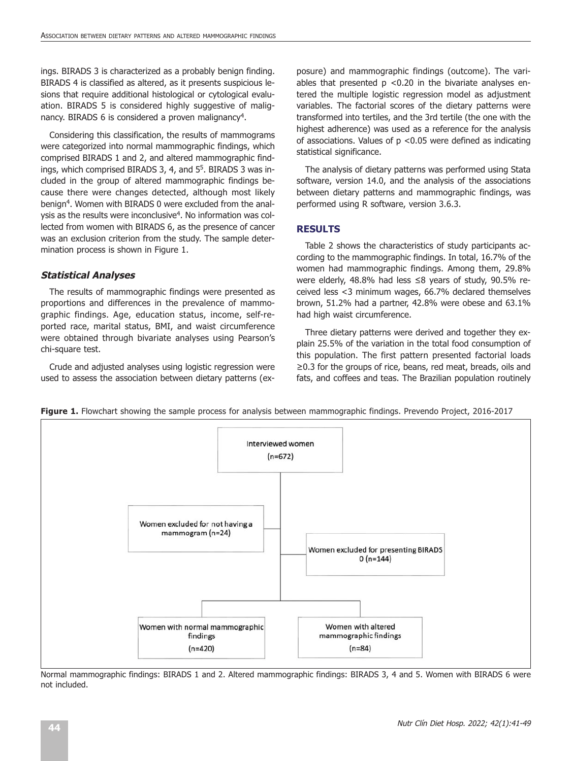ings. BIRADS 3 is characterized as a probably benign finding. BIRADS 4 is classified as altered, as it presents suspicious lesions that require additional histological or cytological evaluation. BIRADS 5 is considered highly suggestive of malignancy. BIRADS 6 is considered a proven malignancy<sup>4</sup>.

Considering this classification, the results of mammograms were categorized into normal mammographic findings, which comprised BIRADS 1 and 2, and altered mammographic findings, which comprised BIRADS 3, 4, and 5<sup>5</sup>. BIRADS 3 was included in the group of altered mammographic findings because there were changes detected, although most likely benign<sup>4</sup>. Women with BIRADS 0 were excluded from the analysis as the results were inconclusive<sup>4</sup>. No information was collected from women with BIRADS 6, as the presence of cancer was an exclusion criterion from the study. The sample determination process is shown in Figure 1.

#### **Statistical Analyses**

The results of mammographic findings were presented as proportions and differences in the prevalence of mammographic findings. Age, education status, income, self-reported race, marital status, BMI, and waist circumference were obtained through bivariate analyses using Pearson's chi-square test.

Crude and adjusted analyses using logistic regression were used to assess the association between dietary patterns (exposure) and mammographic findings (outcome). The variables that presented  $p$  <0.20 in the bivariate analyses entered the multiple logistic regression model as adjustment variables. The factorial scores of the dietary patterns were transformed into tertiles, and the 3rd tertile (the one with the highest adherence) was used as a reference for the analysis of associations. Values of  $p$  <0.05 were defined as indicating statistical significance.

The analysis of dietary patterns was performed using Stata software, version 14.0, and the analysis of the associations between dietary patterns and mammographic findings, was performed using R software, version 3.6.3.

#### **RESULTS**

Table 2 shows the characteristics of study participants according to the mammographic findings. In total, 16.7% of the women had mammographic findings. Among them, 29.8% were elderly, 48.8% had less ≤8 years of study, 90.5% received less <3 minimum wages, 66.7% declared themselves brown, 51.2% had a partner, 42.8% were obese and 63.1% had high waist circumference.

Three dietary patterns were derived and together they explain 25.5% of the variation in the total food consumption of this population. The first pattern presented factorial loads ≥0.3 for the groups of rice, beans, red meat, breads, oils and fats, and coffees and teas. The Brazilian population routinely



**Figure 1.** Flowchart showing the sample process for analysis between mammographic findings. Prevendo Project, 2016-2017

Normal mammographic findings: BIRADS 1 and 2. Altered mammographic findings: BIRADS 3, 4 and 5. Women with BIRADS 6 were not included.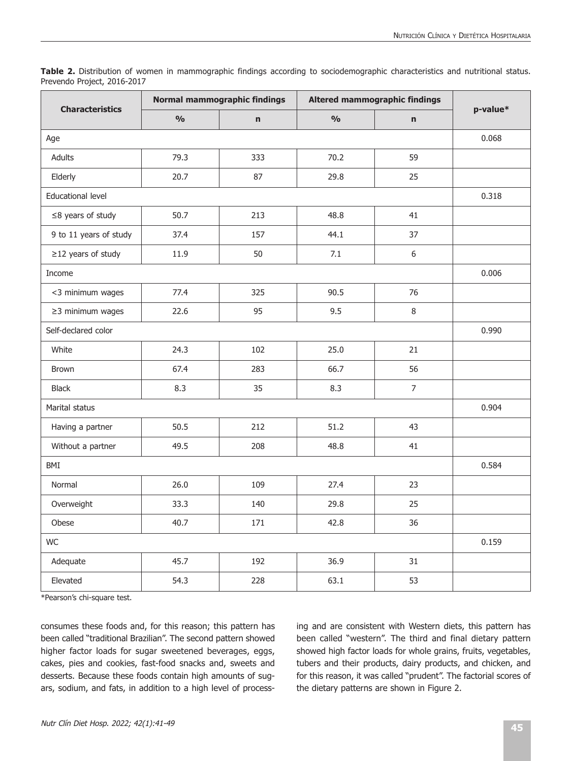**Table 2.** Distribution of women in mammographic findings according to sociodemographic characteristics and nutritional status. Prevendo Project, 2016-2017

| <b>Characteristics</b>   | <b>Normal mammographic findings</b> |             | <b>Altered mammographic findings</b> |                |          |
|--------------------------|-------------------------------------|-------------|--------------------------------------|----------------|----------|
|                          | $\frac{0}{0}$                       | $\mathbf n$ | $\frac{0}{0}$                        | $\mathbf n$    | p-value* |
| Age                      |                                     |             |                                      |                | 0.068    |
| <b>Adults</b>            | 79.3                                | 333         | 70.2                                 | 59             |          |
| Elderly                  | 20.7                                | 87          | 29.8                                 | 25             |          |
| Educational level        | 0.318                               |             |                                      |                |          |
| $\leq$ 8 years of study  | 50.7                                | 213         | 48.8                                 | 41             |          |
| 9 to 11 years of study   | 37.4                                | 157         | 44.1                                 | 37             |          |
| $\geq$ 12 years of study | 11.9                                | 50          | 7.1                                  | 6              |          |
| Income                   | 0.006                               |             |                                      |                |          |
| <3 minimum wages         | 77.4                                | 325         | 90.5                                 | 76             |          |
| $\geq$ 3 minimum wages   | 22.6                                | 95          | 9.5                                  | 8              |          |
| Self-declared color      |                                     |             |                                      |                | 0.990    |
| White                    | 24.3                                | 102         | 25.0                                 | 21             |          |
| <b>Brown</b>             | 67.4                                | 283         | 66.7                                 | 56             |          |
| <b>Black</b>             | 8.3                                 | 35          | 8.3                                  | $\overline{7}$ |          |
| Marital status           | 0.904                               |             |                                      |                |          |
| Having a partner         | 50.5                                | 212         | 51.2                                 | 43             |          |
| Without a partner        | 49.5                                | 208         | 48.8                                 | 41             |          |
| BMI                      |                                     |             |                                      |                | 0.584    |
| Normal                   | 26.0                                | 109         | 27.4                                 | 23             |          |
| Overweight               | 33.3                                | 140         | 29.8                                 | 25             |          |
| Obese                    | 40.7                                | 171         | 42.8                                 | 36             |          |
| WC                       | 0.159                               |             |                                      |                |          |
| Adequate                 | 45.7                                | 192         | 36.9                                 | 31             |          |
| Elevated                 | 54.3                                | 228         | 63.1                                 | 53             |          |

\*Pearson's chi-square test.

consumes these foods and, for this reason; this pattern has been called "traditional Brazilian". The second pattern showed higher factor loads for sugar sweetened beverages, eggs, cakes, pies and cookies, fast-food snacks and, sweets and desserts. Because these foods contain high amounts of sugars, sodium, and fats, in addition to a high level of processing and are consistent with Western diets, this pattern has been called "western". The third and final dietary pattern showed high factor loads for whole grains, fruits, vegetables, tubers and their products, dairy products, and chicken, and for this reason, it was called "prudent". The factorial scores of the dietary patterns are shown in Figure 2.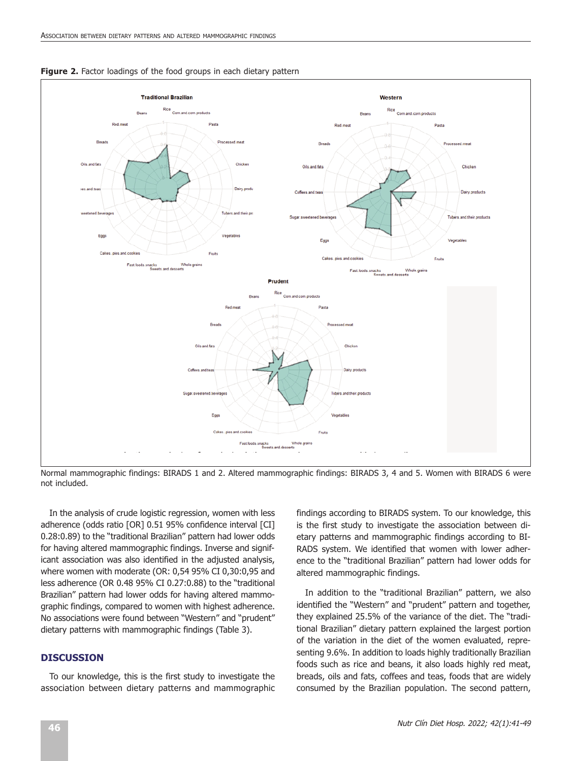

**Figure 2.** Factor loadings of the food groups in each dietary pattern

Normal mammographic findings: BIRADS 1 and 2. Altered mammographic findings: BIRADS 3, 4 and 5. Women with BIRADS 6 were not included.

In the analysis of crude logistic regression, women with less adherence (odds ratio [OR] 0.51 95% confidence interval [CI] 0.28:0.89) to the "traditional Brazilian" pattern had lower odds for having altered mammographic findings. Inverse and significant association was also identified in the adjusted analysis, where women with moderate (OR: 0,54 95% CI 0,30:0,95 and less adherence (OR 0.48 95% CI 0.27:0.88) to the "traditional Brazilian" pattern had lower odds for having altered mammographic findings, compared to women with highest adherence. No associations were found between "Western" and "prudent" dietary patterns with mammographic findings (Table 3).

#### **DISCUSSION**

To our knowledge, this is the first study to investigate the association between dietary patterns and mammographic findings according to BIRADS system. To our knowledge, this is the first study to investigate the association between dietary patterns and mammographic findings according to BI-RADS system. We identified that women with lower adherence to the "traditional Brazilian" pattern had lower odds for altered mammographic findings.

In addition to the "traditional Brazilian" pattern, we also identified the "Western" and "prudent" pattern and together, they explained 25.5% of the variance of the diet. The "traditional Brazilian" dietary pattern explained the largest portion of the variation in the diet of the women evaluated, representing 9.6%. In addition to loads highly traditionally Brazilian foods such as rice and beans, it also loads highly red meat, breads, oils and fats, coffees and teas, foods that are widely consumed by the Brazilian population. The second pattern,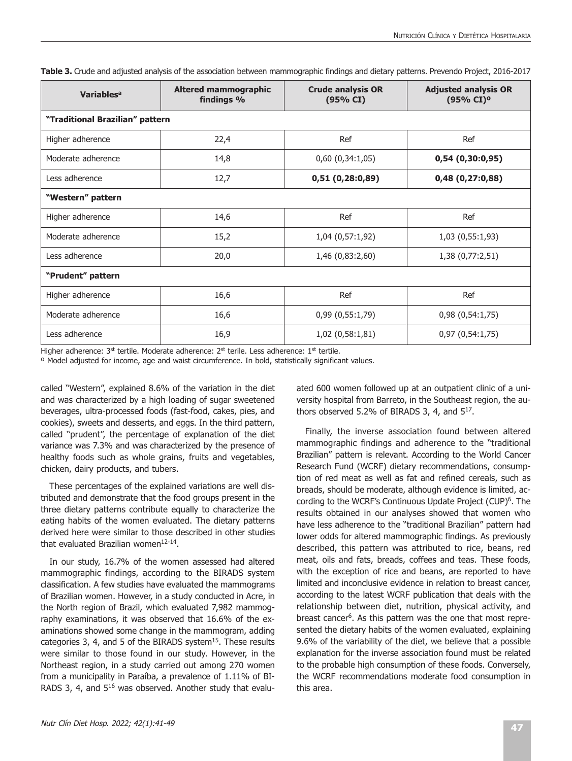| Variables <sup>a</sup>          | <b>Altered mammographic</b><br>findings % | <b>Crude analysis OR</b><br>(95% CI) | <b>Adjusted analysis OR</b><br>$(95% CI)^{\circ}$ |  |  |  |  |
|---------------------------------|-------------------------------------------|--------------------------------------|---------------------------------------------------|--|--|--|--|
| "Traditional Brazilian" pattern |                                           |                                      |                                                   |  |  |  |  |
| Higher adherence                | 22,4                                      | Ref                                  | Ref                                               |  |  |  |  |
| Moderate adherence              | 14,8                                      | 0,60(0,34:1,05)                      | 0,54(0,30:0,95)                                   |  |  |  |  |
| Less adherence                  | 12,7                                      | 0,51(0,28:0,89)                      | 0,48(0,27:0,88)                                   |  |  |  |  |
| "Western" pattern               |                                           |                                      |                                                   |  |  |  |  |
| Higher adherence                | 14,6                                      | Ref                                  | Ref                                               |  |  |  |  |
| Moderate adherence              | 15,2                                      | 1,04 (0,57:1,92)                     | 1,03(0,55:1,93)                                   |  |  |  |  |
| Less adherence                  | 20,0                                      | 1,46 (0,83:2,60)                     | 1,38(0,77:2,51)                                   |  |  |  |  |
| "Prudent" pattern               |                                           |                                      |                                                   |  |  |  |  |
| Higher adherence                | 16,6                                      | Ref                                  | Ref                                               |  |  |  |  |
| Moderate adherence              | 16,6                                      | 0,99(0,55:1,79)                      | 0,98(0,54:1,75)                                   |  |  |  |  |
| Less adherence                  | 16,9                                      | 1,02(0,58:1,81)                      | 0,97(0,54:1,75)                                   |  |  |  |  |

**Table 3.** Crude and adjusted analysis of the association between mammographic findings and dietary patterns. Prevendo Project, 2016-2017

Higher adherence: 3<sup>st</sup> tertile. Moderate adherence: 2<sup>st</sup> terile. Less adherence: 1<sup>st</sup> tertile.

º Model adjusted for income, age and waist circumference. In bold, statistically significant values.

called "Western", explained 8.6% of the variation in the diet and was characterized by a high loading of sugar sweetened beverages, ultra-processed foods (fast-food, cakes, pies, and cookies), sweets and desserts, and eggs. In the third pattern, called "prudent", the percentage of explanation of the diet variance was 7.3% and was characterized by the presence of healthy foods such as whole grains, fruits and vegetables, chicken, dairy products, and tubers.

These percentages of the explained variations are well distributed and demonstrate that the food groups present in the three dietary patterns contribute equally to characterize the eating habits of the women evaluated. The dietary patterns derived here were similar to those described in other studies that evaluated Brazilian women<sup>12-14</sup>.

In our study, 16.7% of the women assessed had altered mammographic findings, according to the BIRADS system classification. A few studies have evaluated the mammograms of Brazilian women. However, in a study conducted in Acre, in the North region of Brazil, which evaluated 7,982 mammography examinations, it was observed that 16.6% of the examinations showed some change in the mammogram, adding categories 3, 4, and 5 of the BIRADS system $15$ . These results were similar to those found in our study. However, in the Northeast region, in a study carried out among 270 women from a municipality in Paraíba, a prevalence of 1.11% of BI-RADS 3, 4, and 516 was observed. Another study that evaluated 600 women followed up at an outpatient clinic of a university hospital from Barreto, in the Southeast region, the authors observed 5.2% of BIRADS 3, 4, and  $5^{17}$ .

Finally, the inverse association found between altered mammographic findings and adherence to the "traditional Brazilian" pattern is relevant. According to the World Cancer Research Fund (WCRF) dietary recommendations, consumption of red meat as well as fat and refined cereals, such as breads, should be moderate, although evidence is limited, according to the WCRF's Continuous Update Project (CUP)<sup>6</sup>. The results obtained in our analyses showed that women who have less adherence to the "traditional Brazilian" pattern had lower odds for altered mammographic findings. As previously described, this pattern was attributed to rice, beans, red meat, oils and fats, breads, coffees and teas. These foods, with the exception of rice and beans, are reported to have limited and inconclusive evidence in relation to breast cancer, according to the latest WCRF publication that deals with the relationship between diet, nutrition, physical activity, and breast cancer<sup>6</sup>. As this pattern was the one that most represented the dietary habits of the women evaluated, explaining 9.6% of the variability of the diet, we believe that a possible explanation for the inverse association found must be related to the probable high consumption of these foods. Conversely, the WCRF recommendations moderate food consumption in this area.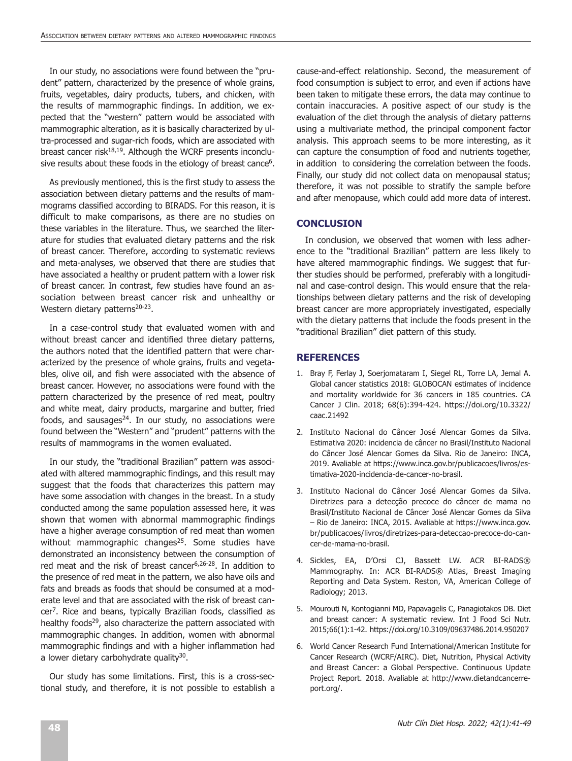In our study, no associations were found between the "prudent" pattern, characterized by the presence of whole grains, fruits, vegetables, dairy products, tubers, and chicken, with the results of mammographic findings. In addition, we expected that the "western" pattern would be associated with mammographic alteration, as it is basically characterized by ultra-processed and sugar-rich foods, which are associated with breast cancer risk<sup>18,19</sup>. Although the WCRF presents inconclusive results about these foods in the etiology of breast cance<sup>6</sup>.

As previously mentioned, this is the first study to assess the association between dietary patterns and the results of mammograms classified according to BIRADS. For this reason, it is difficult to make comparisons, as there are no studies on these variables in the literature. Thus, we searched the literature for studies that evaluated dietary patterns and the risk of breast cancer. Therefore, according to systematic reviews and meta-analyses, we observed that there are studies that have associated a healthy or prudent pattern with a lower risk of breast cancer. In contrast, few studies have found an association between breast cancer risk and unhealthy or Western dietary patterns<sup>20-23</sup>.

In a case-control study that evaluated women with and without breast cancer and identified three dietary patterns, the authors noted that the identified pattern that were characterized by the presence of whole grains, fruits and vegetables, olive oil, and fish were associated with the absence of breast cancer. However, no associations were found with the pattern characterized by the presence of red meat, poultry and white meat, dairy products, margarine and butter, fried foods, and sausages $24$ . In our study, no associations were found between the "Western" and "prudent" patterns with the results of mammograms in the women evaluated.

In our study, the "traditional Brazilian" pattern was associated with altered mammographic findings, and this result may suggest that the foods that characterizes this pattern may have some association with changes in the breast. In a study conducted among the same population assessed here, it was shown that women with abnormal mammographic findings have a higher average consumption of red meat than women without mammographic changes<sup>25</sup>. Some studies have demonstrated an inconsistency between the consumption of red meat and the risk of breast cancer<sup>6,26-28</sup>. In addition to the presence of red meat in the pattern, we also have oils and fats and breads as foods that should be consumed at a moderate level and that are associated with the risk of breast cancer7. Rice and beans, typically Brazilian foods, classified as healthy foods<sup>29</sup>, also characterize the pattern associated with mammographic changes. In addition, women with abnormal mammographic findings and with a higher inflammation had a lower dietary carbohydrate quality<sup>30</sup>.

Our study has some limitations. First, this is a cross-sectional study, and therefore, it is not possible to establish a cause-and-effect relationship. Second, the measurement of food consumption is subject to error, and even if actions have been taken to mitigate these errors, the data may continue to contain inaccuracies. A positive aspect of our study is the evaluation of the diet through the analysis of dietary patterns using a multivariate method, the principal component factor analysis. This approach seems to be more interesting, as it can capture the consumption of food and nutrients together, in addition to considering the correlation between the foods. Finally, our study did not collect data on menopausal status; therefore, it was not possible to stratify the sample before and after menopause, which could add more data of interest.

#### **CONCLUSION**

In conclusion, we observed that women with less adherence to the "traditional Brazilian" pattern are less likely to have altered mammographic findings. We suggest that further studies should be performed, preferably with a longitudinal and case-control design. This would ensure that the relationships between dietary patterns and the risk of developing breast cancer are more appropriately investigated, especially with the dietary patterns that include the foods present in the "traditional Brazilian" diet pattern of this study.

#### **REFERENCES**

- 1. Bray F, Ferlay J, Soerjomataram I, Siegel RL, Torre LA, Jemal A. Global cancer statistics 2018: GLOBOCAN estimates of incidence and mortality worldwide for 36 cancers in 185 countries. CA Cancer J Clin. 2018; 68(6):394-424. https://doi.org/10.3322/ caac.21492
- 2. Instituto Nacional do Câncer José Alencar Gomes da Silva. Estimativa 2020: incidencia de câncer no Brasil/Instituto Nacional do Câncer José Alencar Gomes da Silva. Rio de Janeiro: INCA, 2019. Avaliable at https://www.inca.gov.br/publicacoes/livros/estimativa-2020-incidencia-de-cancer-no-brasil.
- 3. Instituto Nacional do Câncer José Alencar Gomes da Silva. Diretrizes para a detecção precoce do câncer de mama no Brasil/Instituto Nacional de Câncer José Alencar Gomes da Silva – Rio de Janeiro: INCA, 2015. Avaliable at https://www.inca.gov. br/publicacoes/livros/diretrizes-para-deteccao-precoce-do-cancer-de-mama-no-brasil.
- 4. Sickles, EA, D'Orsi CJ, Bassett LW. ACR BI-RADS® Mammography. In: ACR BI-RADS® Atlas, Breast Imaging Reporting and Data System. Reston, VA, American College of Radiology; 2013.
- 5. Mourouti N, Kontogianni MD, Papavagelis C, Panagiotakos DB. Diet and breast cancer: A systematic review. Int J Food Sci Nutr. 2015;66(1):1-42. https://doi.org/10.3109/09637486.2014.950207
- 6. World Cancer Research Fund International/American Institute for Cancer Research (WCRF/AIRC). Diet, Nutrition, Physical Activity and Breast Cancer: a Global Perspective. Continuous Update Project Report. 2018. Avaliable at http://www.dietandcancerreport.org/.